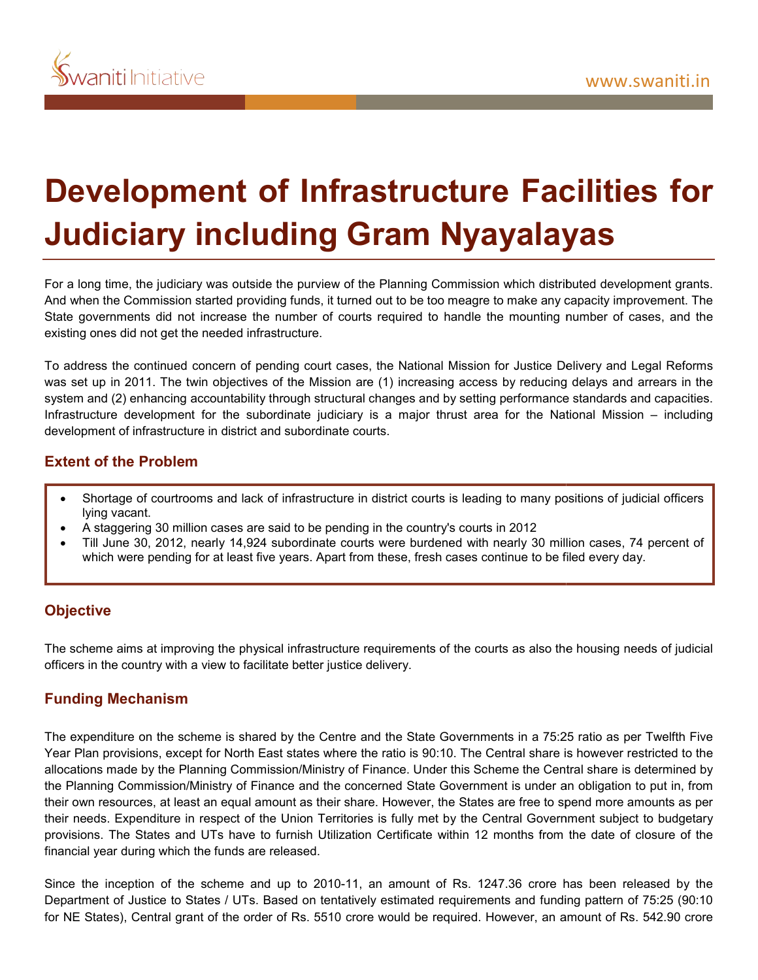# **Development of Infrastructure Facilities for<br>Judiciary including Gram Nyayalayas Judiciary including Gram Nyayalayas**

For a long time, the judiciary was outside the purview of the Planning Commission which distributed development grants. And when the Commission started providing funds, it turned out to be too meagre to make any capacity improvement. The State governments did not increase the number of courts required to handle the mounting number of cases, and the existing ones did not get the needed infrastructure.

To address the continued concern of pending court cases, the National Mission for Justice Delivery and Legal Reforms was set up in 2011. The twin objectives of the Mission are (1) increasing access by reducing delays and arrears in the system and (2) enhancing accountability through structural changes and by setting performance standards and capacities. Infrastructure development for the subordinate judiciary is a major thrust area for the National Mission development of infrastructure in district and subordinate courts. For a long time, the judiciary was outside the purview of the Planning Commission which distributed development grants.<br>And when the Commission started providing funds, it turned out to be too meagre to make any capacity i

# **Extent of the Problem**

- Shortage of courtrooms and lack of infrastructure in district courts is leading to many positions of judicial officers lying vacant.
- A staggering 30 million cases are said to be pending in the country's courts in 2012
- Till June 30, 2012, nearly 14,924 subordinate courts were burdened with nearly 30 million cases, 74 percent o which were pending for at least five years. Apart from these, fresh cases continue to be filed every day.

### **Objective**

The scheme aims at improving the physical infrastructure requirements of the courts as also the housing needs of judicial officers in the country with a view to facilitate better justice delivery.

# **Funding Mechanism**

The expenditure on the scheme is shared by the Centre and the State Governments in a 75:25 ratio as per Twelfth Five Year Plan provisions, except for North East states where the ratio is 90:10. The Central share is however restricted to the allocations made by the Planning Commission/Ministry of Finance. Under this Scheme the Central share is determined by the Planning Commission/Ministry of Finance and the concerned State Government is under an obligation to put in, from their own resources, at least an equal amount as their share. However, the States are free to spend more amounts as per their needs. Expenditure in respect of the Union Territories is fully met by the Central Government subject to budgetary provisions. The States and UTs have to furnish Utilization Certificate within 12 months from the date of closure of the financial year during which the funds are released. hortage of outritooms and lack of infrastructure in district courts is leading to many positions of judicial officers<br>staggering 30 million cases are said to be pending in the countrys courts in 2012<br>ill June 30, 2012, nea Shortage of courtrooms and lack of infrastructure in district coursts is leading to many positions of judicial officers<br>A staggering 30 million cases are said to be pending in the country scours in 2012<br>
Till June 30, 2012

Since the inception of the scheme and up to 2010-11, an amount of Rs. 1247.36 crore has been released by the Department of Justice to States / UTs. Based on tentatively estimated requirements and funding pattern of 75:25 (90:10 for NE States), Central grant of the order of Rs. 5510 crore would be required. However, an amount of Rs. 542.90 crore